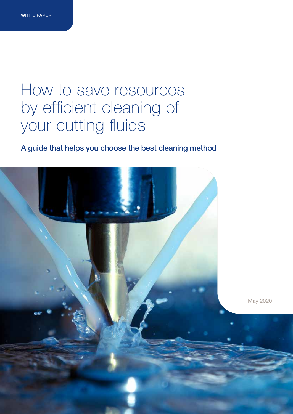### How to save resources by efficient cleaning of your cutting fluids

### A guide that helps you choose the best cleaning method

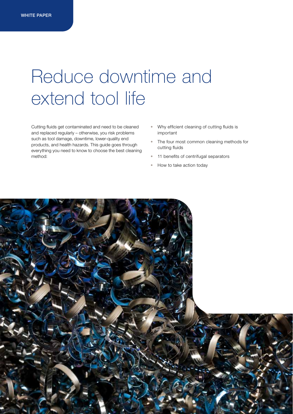### Reduce downtime and extend tool life

Cutting fluids get contaminated and need to be cleaned and replaced regularly – otherwise, you risk problems such as tool damage, downtime, lower-quality end products, and health hazards. This guide goes through everything you need to know to choose the best cleaning method:

- Why efficient cleaning of cutting fluids is important
- The four most common cleaning methods for cutting fluids
- 11 benefits of centrifugal separators
- How to take action today

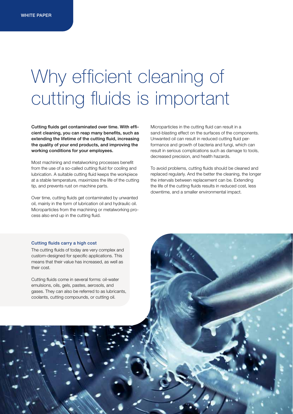# Why efficient cleaning of cutting fluids is important

Cutting fluids get contaminated over time. With efficient cleaning, you can reap many benefits, such as extending the lifetime of the cutting fluid, increasing the quality of your end products, and improving the working conditions for your employees.

Most machining and metalworking processes benefit from the use of a so-called cutting fluid for cooling and lubrication. A suitable cutting fluid keeps the workpiece at a stable temperature, maximizes the life of the cutting tip, and prevents rust on machine parts.

Over time, cutting fluids get contaminated by unwanted oil, mainly in the form of lubrication oil and hydraulic oil. Microparticles from the machining or metalworking process also end up in the cutting fluid.

Microparticles in the cutting fluid can result in a sand-blasting effect on the surfaces of the components. Unwanted oil can result in reduced cutting fluid performance and growth of bacteria and fungi, which can result in serious complications such as damage to tools, decreased precision, and health hazards.

To avoid problems, cutting fluids should be cleaned and replaced regularly. And the better the cleaning, the longer the intervals between replacement can be. Extending the life of the cutting fluids results in reduced cost, less downtime, and a smaller environmental impact.

#### Cutting fluids carry a high cost

The cutting fluids of today are very complex and custom-designed for specific applications. This means that their value has increased, as well as their cost.

Cutting fluids come in several forms: oil-water emulsions, oils, gels, pastes, aerosols, and gases. They can also be referred to as lubricants, coolants, cutting compounds, or cutting oil.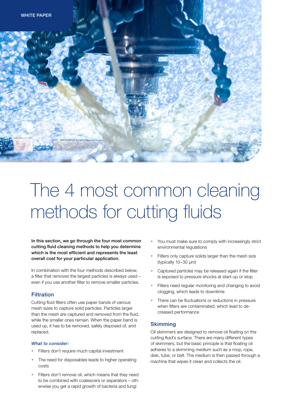

# The 4 most common cleaning methods for cutting fluids

In this section, we go through the four most common cutting fluid cleaning methods to help you determine which is the most efficient and represents the least overall cost for your particular application.

In combination with the four methods described below, a filter that removes the largest particles is always used – even if you use another filter to remove smaller particles.

#### **Filtration**

Cutting fluid filters often use paper bands of various mesh sizes to capture solid particles. Particles larger than the mesh are captured and removed from the fluid, while the smaller ones remain. When the paper band is used up, it has to be removed, safely disposed of, and replaced.

### *What to consider:*

- Filters don't require much capital investment
- The need for disposables leads to higher operating costs
- Filters don't remove oil, which means that they need to be combined with coalescers or separators – otherwise you get a rapid growth of bacteria and fungi
- You must make sure to comply with increasingly strict environmental regulations
- Filters only capture solids larger than the mesh size (typically 10–30 µm)
- Captured particles may be released again if the filter is exposed to pressure shocks at start-up or stop
- Filters need regular monitoring and changing to avoid clogging, which leads to downtime
- There can be fluctuations or reductions in pressure when filters are contaminated, which lead to decreased performance

#### **Skimming**

Oil skimmers are designed to remove oil floating on the cutting fluid's surface. There are many different types of skimmers, but the basic principle is that floating oil adheres to a skimming medium such as a mop, rope, disk, tube, or belt. The medium is then passed through a machine that wipes it clean and collects the oil.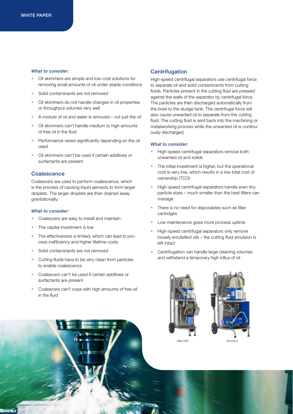#### *What to consider:*

- Oil skimmers are simple and low-cost solutions for removing small amounts of oil under stable conditions
- Solid contaminants are not removed
- Oil skimmers do not handle changes in oil properties or throughput volumes very well
- A mixture of oil and water is removed not just the oil
- Oil skimmers can't handle medium to high amounts of free oil in the fluid
- Performance varies significantly depending on the oil used
- Oil skimmers can't be used if certain additives or surfactants are present

#### **Coalescence**

Coalescers are used to perform coalescence, which is the process of causing liquid aerosols to form larger droplets. The larger droplets are then drained away gravitationally.

#### *What to consider:*

- Coalescers are easy to install and maintain
- The capital investment is low
- The effectiveness is limited, which can lead to process inefficiency and higher lifetime costs
- Solid contaminants are not removed
- Cutting fluids have to be very clean from particles to enable coalescence
- Coalescers can't be used if certain additives or surfactants are present
- Coalescers can't cope with high amounts of free oil in the fluid

#### **Centrifugation**

High-speed centrifugal separators use centrifugal force to separate oil and solid contaminants from cutting fluids. Particles present in the cutting fluid are pressed against the walls of the separator by centrifugal force. The particles are then discharged automatically from the bowl to the sludge tank. The centrifugal force will also cause unwanted oil to separate from the cutting fluid. The cutting fluid is sent back into the machining or metalworking process while the unwanted oil is continuously discharged.

#### *What to consider:*

- High-speed centrifugal separators remove both unwanted oil and solids
- The initial investment is higher, but the operational cost is very low, which results in a low total cost of ownership (TCO)
- High-speed centrifugal separators handle even tiny particle sizes – much smaller than the best filters can manage
- There is no need for disposables such as filter cartridges
- Low maintenance gives more process uptime
- High-speed centrifugal separators only remove loosely emulsified oils – the cutting fluid emulsion is left intact
- Centrifugation can handle large cleaning volumes and withstand a temporary high influx of oil



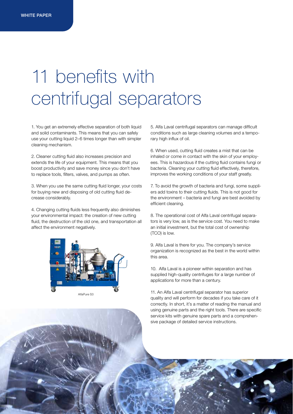# 11 benefits with centrifugal separators

1. You get an extremely effective separation of both liquid and solid contaminants. This means that you can safely use your cutting liquid 2–6 times longer than with simpler cleaning mechanism.

2. Cleaner cutting fluid also increases precision and extends the life of your equipment. This means that you boost productivity and save money since you don't have to replace tools, filters, valves, and pumps as often.

3. When you use the same cutting fluid longer, your costs for buying new and disposing of old cutting fluid decrease considerably.

4. Changing cutting fluids less frequently also diminishes your environmental impact: the creation of new cutting fluid, the destruction of the old one, and transportation all affect the environment negatively.



5. Alfa Laval centrifugal separators can manage difficult conditions such as large cleaning volumes and a temporary high influx of oil.

6. When used, cutting fluid creates a mist that can be inhaled or come in contact with the skin of your employees. This is hazardous if the cutting fluid contains fungi or bacteria. Cleaning your cutting fluid effectively, therefore, improves the working conditions of your staff greatly.

7. To avoid the growth of bacteria and fungi, some suppliers add toxins to their cutting fluids. This is not good for the environment – bacteria and fungi are best avoided by efficient cleaning.

8. The operational cost of Alfa Laval centrifugal separators is very low, as is the service cost. You need to make an initial investment, but the total cost of ownership (TCO) is low.

9. Alfa Laval is there for you. The company's service organization is recognized as the best in the world within this area.

10. Alfa Laval is a pioneer within separation and has supplied high-quality centrifuges for a large number of applications for more than a century.

11. An Alfa Laval centrifugal separator has superior quality and will perform for decades if you take care of it correctly. In short, it's a matter of reading the manual and using genuine parts and the right tools. There are specific service kits with genuine spare parts and a comprehensive package of detailed service instructions.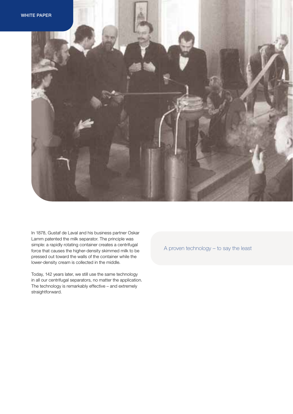



In 1878, Gustaf de Laval and his business partner Oskar Lamm patented the milk separator. The principle was simple: a rapidly rotating container creates a centrifugal force that causes the higher-density skimmed milk to be pressed out toward the walls of the container while the lower-density cream is collected in the middle.

Today, 142 years later, we still use the same technology in all our centrifugal separators, no matter the application. The technology is remarkably effective – and extremely straightforward.

A proven technology – to say the least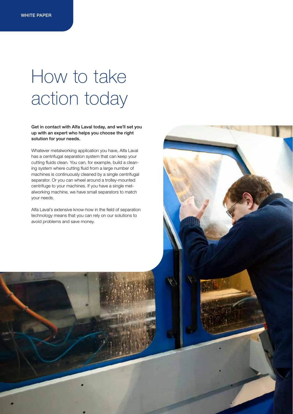### How to take action today

Get in contact with Alfa Laval today, and we'll set you up with an expert who helps you choose the right solution for your needs.

Whatever metalworking application you have, Alfa Laval has a centrifugal separation system that can keep your cutting fluids clean. You can, for example, build a cleaning system where cutting fluid from a large number of machines is continuously cleaned by a single centrifugal separator. Or you can wheel around a trolley-mounted centrifuge to your machines. If you have a single metalworking machine, we have small separators to match your needs.

Alfa Laval's extensive know-how in the field of separation technology means that you can rely on our solutions to avoid problems and save money.